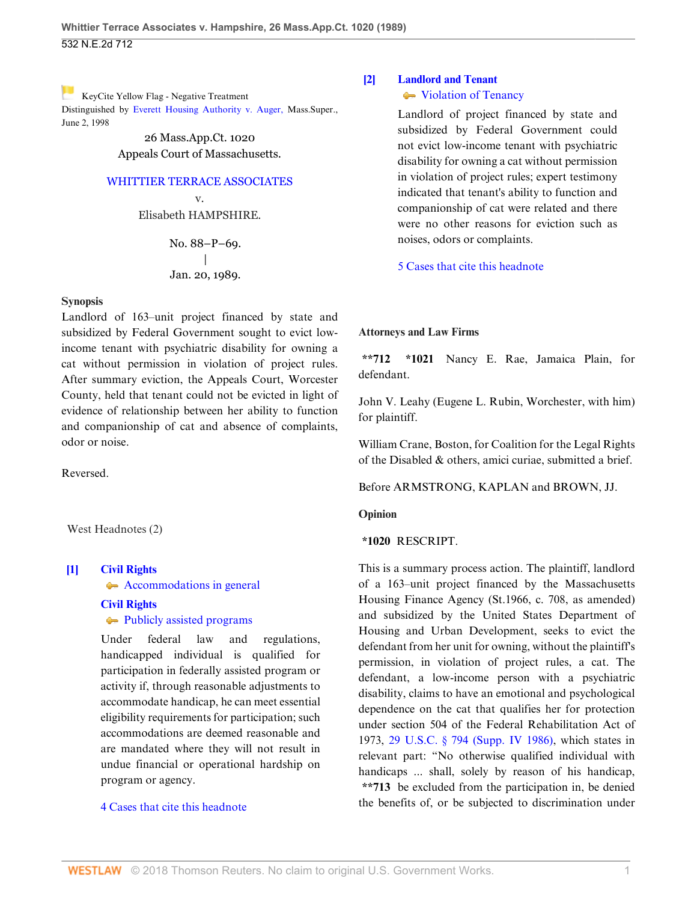[K](http://www.westlaw.com/Link/RelatedInformation/Flag?documentGuid=Ia03c46d0d38b11d99439b076ef9ec4de&transitionType=Document&originationContext=docHeaderFlag&contextData=(sc.Default))eyCite Yellow Flag - Negative Treatment Distinguished by [Everett Housing Authority v. Auger, M](https://www.westlaw.com/Document/I6eec8342d22f11d99439b076ef9ec4de/View/FullText.html?navigationPath=RelatedInfo%2Fv4%2Fkeycite%2Fnav%2F%3Fguid%3DI6eec8342d22f11d99439b076ef9ec4de%26ss%3D1989012988%26ds%3D2000031553&listSource=RelatedInfo&list=NegativeCitingReferences&rank=0&originationContext=docHeader&transitionType=NegativeTreatment&contextData=%28sc.Default%29&VR=3.0&RS=cblt1.0 )ass.Super., June 2, 1998

> 26 Mass.App.Ct. 1020 Appeals Court of Massachusetts.

#### [WHITTIER TERRACE ASSOCIATES](http://www.westlaw.com/Search/Results.html?query=advanced%3a+OAID(5032653719)&saveJuris=False&contentType=BUSINESS-INVESTIGATOR&startIndex=1&contextData=(sc.Default)&categoryPageUrl=Home%2fCompanyInvestigator&originationContext=document&vr=3.0&rs=cblt1.0&transitionType=DocumentItem)

v. Elisabeth HAMPSHIRE.

> No. 88–P–69. | Jan. 20, 1989.

#### **Synopsis**

Landlord of 163–unit project financed by state and subsidized by Federal Government sought to evict lowincome tenant with psychiatric disability for owning a cat without permission in violation of project rules. After summary eviction, the Appeals Court, Worcester County, held that tenant could not be evicted in light of evidence of relationship between her ability to function and companionship of cat and absence of complaints, odor or noise.

Reversed.

West Headnotes (2)

## <span id="page-0-0"></span>**[\[1\]](#page-1-0) [Civil Rights](http://www.westlaw.com/Browse/Home/KeyNumber/78/View.html?docGuid=Ia03c46d0d38b11d99439b076ef9ec4de&originationContext=document&vr=3.0&rs=cblt1.0&transitionType=DocumentItem&contextData=(sc.Default))** [Accommodations in general](http://www.westlaw.com/Browse/Home/KeyNumber/78k1020/View.html?docGuid=Ia03c46d0d38b11d99439b076ef9ec4de&originationContext=document&vr=3.0&rs=cblt1.0&transitionType=DocumentItem&contextData=(sc.Default))

**[Civil Rights](http://www.westlaw.com/Browse/Home/KeyNumber/78/View.html?docGuid=Ia03c46d0d38b11d99439b076ef9ec4de&originationContext=document&vr=3.0&rs=cblt1.0&transitionType=DocumentItem&contextData=(sc.Default))**

**[Publicly assisted programs](http://www.westlaw.com/Browse/Home/KeyNumber/78k1055/View.html?docGuid=Ia03c46d0d38b11d99439b076ef9ec4de&originationContext=document&vr=3.0&rs=cblt1.0&transitionType=DocumentItem&contextData=(sc.Default))** 

Under federal law and regulations, handicapped individual is qualified for participation in federally assisted program or activity if, through reasonable adjustments to accommodate handicap, he can meet essential eligibility requirements for participation; such accommodations are deemed reasonable and are mandated where they will not result in undue financial or operational hardship on program or agency.

### [4 Cases that cite this headnote](http://www.westlaw.com/Link/RelatedInformation/DocHeadnoteLink?docGuid=Ia03c46d0d38b11d99439b076ef9ec4de&headnoteId=198901298800120140702200618&originationContext=document&vr=3.0&rs=cblt1.0&transitionType=CitingReferences&contextData=(sc.Default))

# <span id="page-0-1"></span>**[\[2\]](#page-1-1) [Landlord and Tenant](http://www.westlaw.com/Browse/Home/KeyNumber/233/View.html?docGuid=Ia03c46d0d38b11d99439b076ef9ec4de&originationContext=document&vr=3.0&rs=cblt1.0&transitionType=DocumentItem&contextData=(sc.Default))**

## • [Violation of Tenancy](http://www.westlaw.com/Browse/Home/KeyNumber/233k2073/View.html?docGuid=Ia03c46d0d38b11d99439b076ef9ec4de&originationContext=document&vr=3.0&rs=cblt1.0&transitionType=DocumentItem&contextData=(sc.Default))

Landlord of project financed by state and subsidized by Federal Government could not evict low-income tenant with psychiatric disability for owning a cat without permission in violation of project rules; expert testimony indicated that tenant's ability to function and companionship of cat were related and there were no other reasons for eviction such as noises, odors or complaints.

[5 Cases that cite this headnote](http://www.westlaw.com/Link/RelatedInformation/DocHeadnoteLink?docGuid=Ia03c46d0d38b11d99439b076ef9ec4de&headnoteId=198901298800220140702200618&originationContext=document&vr=3.0&rs=cblt1.0&transitionType=CitingReferences&contextData=(sc.Default))

### **Attorneys and Law Firms**

**\*\*712 \*1021** Nancy E. Rae, Jamaica Plain, for defendant.

John V. Leahy (Eugene L. Rubin, Worchester, with him) for plaintiff.

William Crane, Boston, for Coalition for the Legal Rights of the Disabled & others, amici curiae, submitted a brief.

Before ARMSTRONG, KAPLAN and BROWN, JJ.

### **Opinion**

### **\*1020** RESCRIPT.

This is a summary process action. The plaintiff, landlord of a 163–unit project financed by the Massachusetts Housing Finance Agency (St.1966, c. 708, as amended) and subsidized by the United States Department of Housing and Urban Development, seeks to evict the defendant from her unit for owning, without the plaintiff's permission, in violation of project rules, a cat. The defendant, a low-income person with a psychiatric disability, claims to have an emotional and psychological dependence on the cat that qualifies her for protection under section 504 of the Federal Rehabilitation Act of 1973, [29 U.S.C. § 794 \(Supp. IV 1986\)](http://www.westlaw.com/Link/Document/FullText?findType=L&pubNum=1000546&cite=29USCAS794&originatingDoc=Ia03c46d0d38b11d99439b076ef9ec4de&refType=LQ&originationContext=document&vr=3.0&rs=cblt1.0&transitionType=DocumentItem&contextData=(sc.Default)), which states in relevant part: "No otherwise qualified individual with handicaps ... shall, solely by reason of his handicap, **\*\*713** be excluded from the participation in, be denied the benefits of, or be subjected to discrimination under